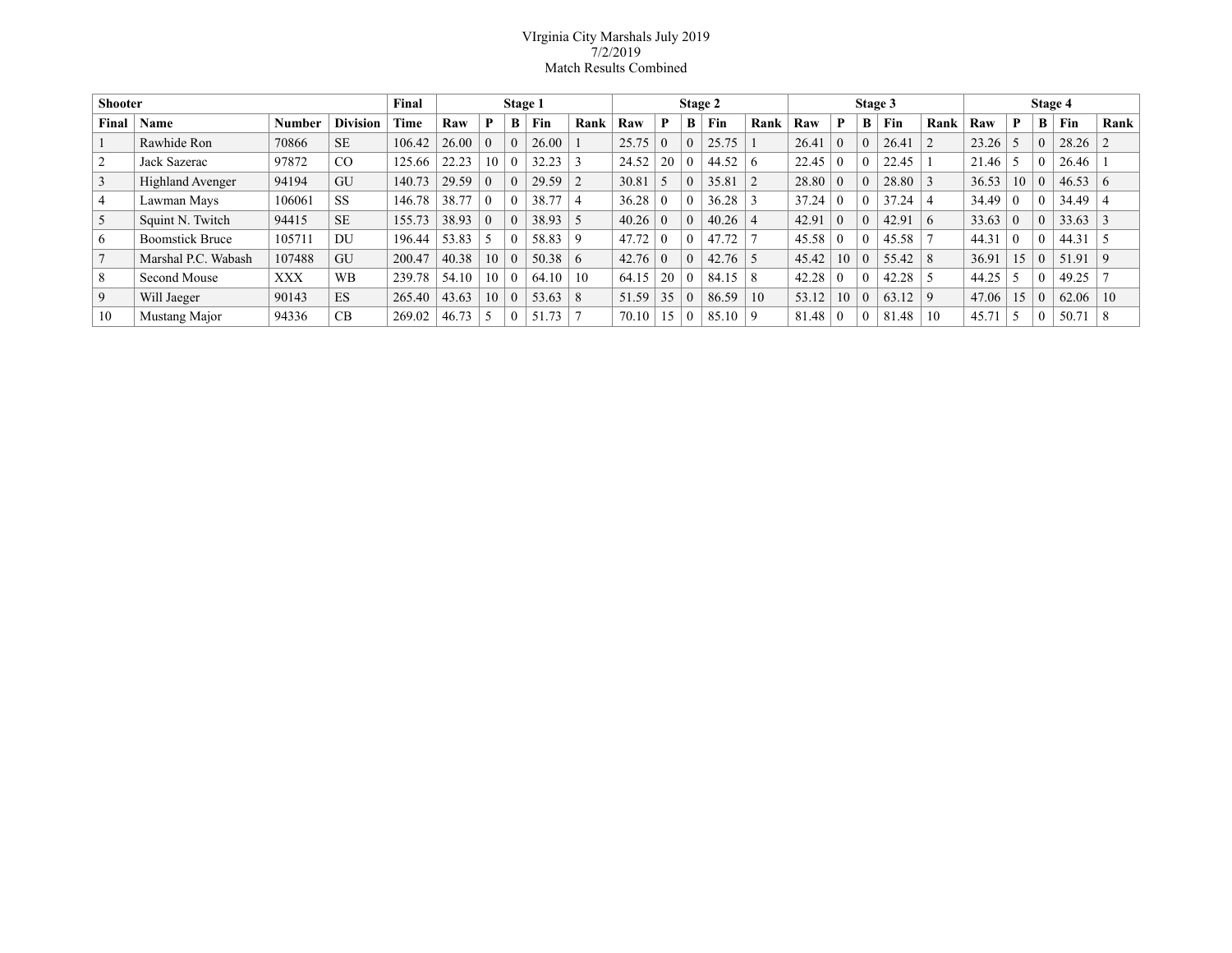## VIrginia City Marshals July 2019 7/2/2019 Match Results Combined

| <b>Shooter</b> |                         |               |                 | Final  |       |          | Stage 1  |                |      |       |          | Stage 2 |            |          |       |          |          | Stage 3     |             |       |          | Stage 4 |            |          |
|----------------|-------------------------|---------------|-----------------|--------|-------|----------|----------|----------------|------|-------|----------|---------|------------|----------|-------|----------|----------|-------------|-------------|-------|----------|---------|------------|----------|
| Final          | Name                    | <b>Number</b> | <b>Division</b> | Time   | Raw   | P        | B        | Fin            | Rank | Raw   | P        | B       | <b>Fin</b> | Rank     | Raw   | P        | B        | Fin         | Rank        | Raw   | P        | B       | <b>Fin</b> | Rank     |
|                | Rawhide Ron             | 70866         | <b>SE</b>       | 106.42 | 26.00 | $\theta$ | $\Omega$ | 26.00          |      | 25.75 |          |         | 25.75      |          | 26.41 | $\theta$ | $\theta$ | 26.41       |             | 23.26 |          |         | 28.26      |          |
|                | Jack Sazerac            | 97872         | CO              | 125.66 | 22.23 | 10       |          | 32.23          |      | 24.52 | 20       |         | 44.52      | $\sigma$ | 22.45 | $\theta$ |          | 22.45       |             | 21.46 |          |         | 26.46      |          |
| $\overline{3}$ | <b>Highland Avenger</b> | 94194         | GU              | 140.73 | 29.59 | $\theta$ | $\Omega$ | $29.59$   2    |      | 30.81 |          |         | 35.81      |          | 28.80 | $\theta$ |          | 28.80       |             | 36.53 | 10       |         | 46.53      | $\sigma$ |
| 4              | Lawman Mays             | 106061        | <b>SS</b>       | 146.78 | 38.77 |          | 0        | 38.77          |      | 36.28 |          |         | 36.28      |          | 37.24 | $\theta$ |          | 37.24       |             | 34.49 | $\Omega$ |         | 34.49      |          |
| 5              | Squint N. Twitch        | 94415         | <b>SE</b>       | 155.73 | 38.93 | $\theta$ | $\Omega$ | 38.93          |      | 40.26 |          |         | 40.26      |          | 42.91 | $\theta$ | $\theta$ | 42.91       | $\sqrt{2}$  | 33.63 | $\Omega$ |         | 33.63      |          |
| $\sigma$       | <b>Boomstick Bruce</b>  | 105711        | <b>DU</b>       | 196.44 | 53.83 | 5        |          | 58.83          | -9   | 47.72 |          |         | 47.72      |          | 45.58 | $\Omega$ |          | 45.58       |             | 44.31 | $\theta$ |         | 44.31      |          |
|                | Marshal P.C. Wabash     | 107488        | GU              | 200.47 | 40.38 | 10       | $\Omega$ | $50.38 \mid 6$ |      | 42.76 | $\theta$ |         | 42.76      |          | 45.42 | 10       | $\Omega$ | $55.42$   8 |             | 36.91 | 15       |         | 51.91      | 9        |
| 8              | Second Mouse            | <b>XXX</b>    | <b>WB</b>       | 239.78 | 54.10 | 10       | $\Omega$ | 64.10          | 10   | 64.15 | 20       |         | 84.15      | 8        | 42.28 | $\theta$ |          | 42.28       |             | 44.25 |          |         | 49.25      |          |
| 9              | Will Jaeger             | 90143         | ES              | 265.40 | 43.63 | 10       | $\Omega$ | 53.63          | -8   | 51.59 | 35       |         | 86.59      | 10       | 53.12 | 10       | $\Omega$ | 63.12       | $\mathbf Q$ | 47.06 | 15       |         | 62.06      | 10       |
| 10             | Mustang Major           | 94336         | CB              | 269.02 | 46.73 |          | $\Omega$ | 51.73          |      | 70.10 | 15       |         | 85.10      | -Q       | 81.48 | $\theta$ |          | 81.48       | 10          | 45.71 |          |         | 50.71      | 8        |